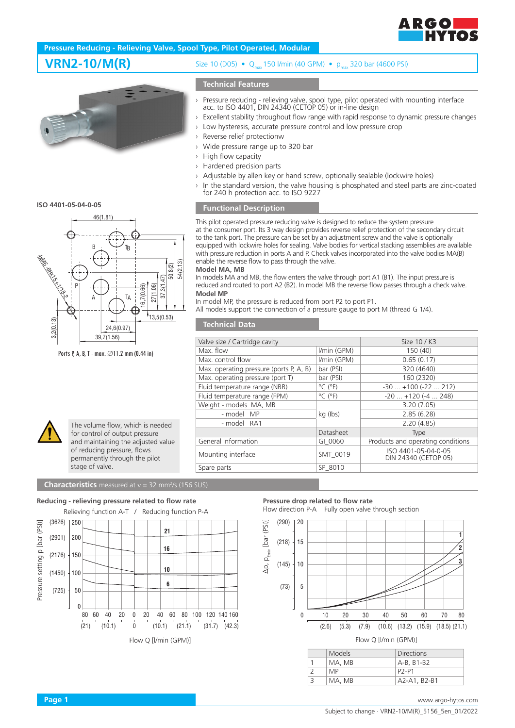

# **Pressure Reducing - Relieving Valve, Spool Type, Pilot Operated, Modular**



**ISO 4401-05-04-0-05**



Ports P, A, B, T - max. ∅11.2 mm (0.44 in)



The volume flow, which is needed for control of output pressure and maintaining the adjusted value of reducing pressure, flows permanently through the pilot stage of valve.



**VRN2-10/M(R)** Size 10 (D05) • Q<sub>max</sub>150 l/min (40 GPM) • p<sub>max</sub> 320 bar (4600 PSI)

### **Technical Features**

- › Pressure reducing relieving valve, spool type, pilot operated with mounting interface acc. to ISO 4401, DIN 24340 (CETOP 05) or in-line design
- › Excellent stability throughout flow range with rapid response to dynamic pressure changes
- › Low hysteresis, accurate pressure control and low pressure drop
- › Reverse relief protectionw
- › Wide pressure range up to 320 bar
- › High flow capacity
- Hardened precision parts
- Adjustable by allen key or hand screw, optionally sealable (lockwire holes)
- › In the standard version, the valve housing is phosphated and steel parts are zinc-coated for 240 h protection acc. to ISO 9227

## **Functional Description**

This pilot operated pressure reducing valve is designed to reduce the system pressure at the consumer port. Its 3 way design provides reverse relief protection of the secondary circuit to the tank port. The pressure can be set by an adjustment screw and the valve is optionally equipped with lockwire holes for sealing. Valve bodies for vertical stacking assemblies are available with pressure reduction in ports A and P. Check valves incorporated into the valve bodies MA(B) enable the reverse flow to pass through the valve.

### **Model MA, MB**

In models MA and MB, the flow enters the valve through port A1 (B1). The input pressure is reduced and routed to port A2 (B2). In model MB the reverse flow passes through a check valve. **Model MP**

In model MP, the pressure is reduced from port P2 to port P1.

All models support the connection of a pressure gauge to port M (thread G 1/4).

## **Technical Data**

| Valve size / Cartridge cavity           |                              | Size 10 / K3                                |  |
|-----------------------------------------|------------------------------|---------------------------------------------|--|
| Max. flow                               | I/min (GPM)                  | 150 (40)                                    |  |
| Max. control flow                       | I/min (GPM)                  | 0.65(0.17)                                  |  |
| Max. operating pressure (ports P, A, B) | bar (PSI)                    | 320 (4640)                                  |  |
| Max. operating pressure (port T)        | bar (PSI)                    | 160 (2320)                                  |  |
| Fluid temperature range (NBR)           | $^{\circ}$ C ( $^{\circ}$ F) | $-30+100(-22212)$                           |  |
| Fluid temperature range (FPM)           | $^{\circ}$ C ( $^{\circ}$ F) | $-20$ $+120$ ( $-4$ 248)                    |  |
| Weight - models MA, MB                  |                              | 3.20(7.05)                                  |  |
| - model MP                              | kg (lbs)                     | 2.85(6.28)                                  |  |
| - model RA1                             |                              | 2.20(4.85)                                  |  |
|                                         | Datasheet                    | Type                                        |  |
| General information                     | GI 0060                      | Products and operating conditions           |  |
| Mounting interface                      | SMT 0019                     | ISO 4401-05-04-0-05<br>DIN 24340 (CETOP 05) |  |
| Spare parts                             | SP 8010                      |                                             |  |
|                                         |                              |                                             |  |



| <b>Models</b> | <b>Directions</b>              |
|---------------|--------------------------------|
| MA, MB        | A-B, B1-B2                     |
| MP.           | P <sub>2</sub> -P <sub>1</sub> |
| MA, MB        | A2-A1, B2-B1                   |